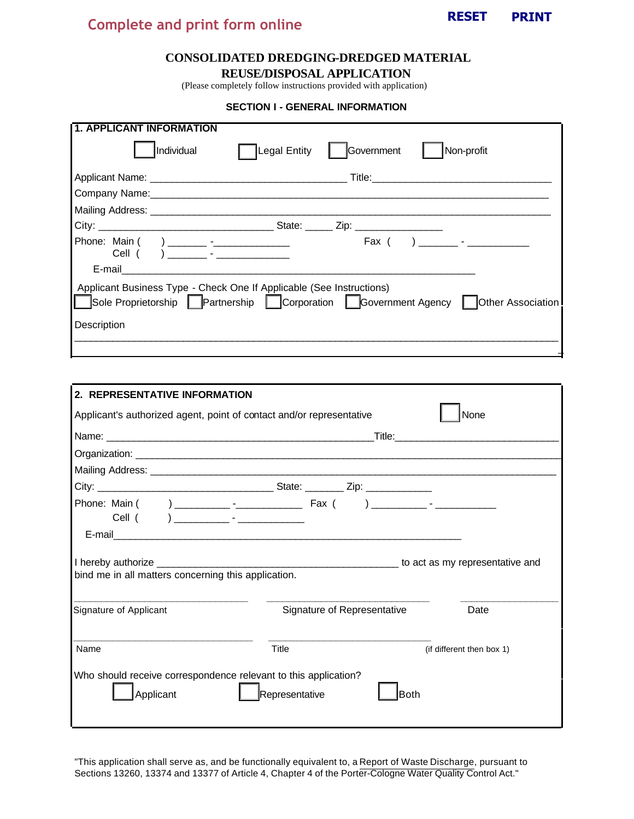

# **RESET PRINT Complete and print form online**

## **CONSOLIDATED DREDGING-DREDGED MATERIAL**

**REUSE/DISPOSAL APPLICATION**

(Please completely follow instructions provided with application)

#### **SECTION I - GENERAL INFORMATION**

| <b>1. APPLICANT INFORMATION</b>                                                                                                                                        |
|------------------------------------------------------------------------------------------------------------------------------------------------------------------------|
| Individual<br>Legal Entity<br>Government<br>Non-profit                                                                                                                 |
|                                                                                                                                                                        |
|                                                                                                                                                                        |
|                                                                                                                                                                        |
|                                                                                                                                                                        |
| Phone: Main ( ) _________ -________________<br>$\begin{bmatrix} \n\text{Fax} & 0 & 0 \\ \n\text{Fax} & 0 & 0 \\ \n\end{bmatrix}$<br>Cell (                             |
| Applicant Business Type - Check One If Applicable (See Instructions)<br>Sole Proprietorship Partnership Corporation Government Agency Other Association<br>Description |
|                                                                                                                                                                        |

| 2. REPRESENTATIVE INFORMATION                                                                                                                                                                                                                                                       |                                                                                   |                           |  |  |  |
|-------------------------------------------------------------------------------------------------------------------------------------------------------------------------------------------------------------------------------------------------------------------------------------|-----------------------------------------------------------------------------------|---------------------------|--|--|--|
| Applicant's authorized agent, point of contact and/or representative                                                                                                                                                                                                                |                                                                                   | None                      |  |  |  |
|                                                                                                                                                                                                                                                                                     |                                                                                   |                           |  |  |  |
|                                                                                                                                                                                                                                                                                     |                                                                                   |                           |  |  |  |
|                                                                                                                                                                                                                                                                                     |                                                                                   |                           |  |  |  |
|                                                                                                                                                                                                                                                                                     |                                                                                   |                           |  |  |  |
|                                                                                                                                                                                                                                                                                     |                                                                                   |                           |  |  |  |
|                                                                                                                                                                                                                                                                                     |                                                                                   |                           |  |  |  |
| I hereby authorize <b>contained contained contained contained contained as a set of the set of the set of the set of the set of the set of the set of the set of the set of the set of the set of the set of the set of </b><br>bind me in all matters concerning this application. | to act as my representative and intermal contract to act as my representative and |                           |  |  |  |
| Signature of Applicant                                                                                                                                                                                                                                                              | Signature of Representative                                                       | Date                      |  |  |  |
| Name                                                                                                                                                                                                                                                                                | Title                                                                             | (if different then box 1) |  |  |  |
| Who should receive correspondence relevant to this application?<br>Applicant                                                                                                                                                                                                        | Representative<br><b>Both</b>                                                     |                           |  |  |  |

"This application shall serve as, and be functionally equivalent to, a Report of Waste Discharge, pursuant to Sections 13260, 13374 and 13377 of Article 4, Chapter 4 of the Porter-Cologne Water Quality Control Act."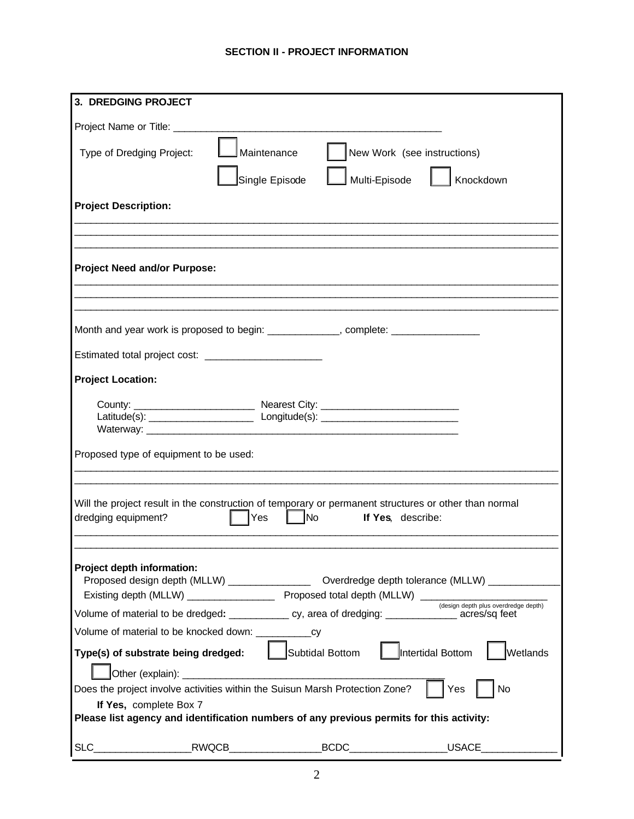## **SECTION II - PROJECT INFORMATION**

| 3. DREDGING PROJECT                                                                                                                        |
|--------------------------------------------------------------------------------------------------------------------------------------------|
| Project Name or Title: ________                                                                                                            |
| New Work (see instructions)<br>Maintenance<br>Type of Dredging Project:                                                                    |
| Multi-Episode<br>Single Episode<br>Knockdown                                                                                               |
| <b>Project Description:</b>                                                                                                                |
|                                                                                                                                            |
|                                                                                                                                            |
| <b>Project Need and/or Purpose:</b>                                                                                                        |
|                                                                                                                                            |
| Month and year work is proposed to begin: _____________, complete: _____________                                                           |
|                                                                                                                                            |
|                                                                                                                                            |
| <b>Project Location:</b>                                                                                                                   |
|                                                                                                                                            |
|                                                                                                                                            |
|                                                                                                                                            |
| Proposed type of equipment to be used:                                                                                                     |
|                                                                                                                                            |
| Will the project result in the construction of temporary or permanent structures or other than normal                                      |
| <b>No</b><br>dredging equipment?<br>Yes<br>If Yes, describe:                                                                               |
|                                                                                                                                            |
| Project depth information:                                                                                                                 |
|                                                                                                                                            |
| (design depth plus overdredge depth)<br>Volume of material to be dredged: _____________ cy, area of dredging: _______________acres/sq feet |
|                                                                                                                                            |
| Subtidal Bottom<br>Intertidal Bottom<br>Wetlands<br>Type(s) of substrate being dredged:                                                    |
| Other (explain):                                                                                                                           |
| Does the project involve activities within the Suisun Marsh Protection Zone?<br>Yes<br>No                                                  |
| If Yes, complete Box 7                                                                                                                     |
| Please list agency and identification numbers of any previous permits for this activity:                                                   |
| $BCDC$ and $AC$<br><b>USACE</b>                                                                                                            |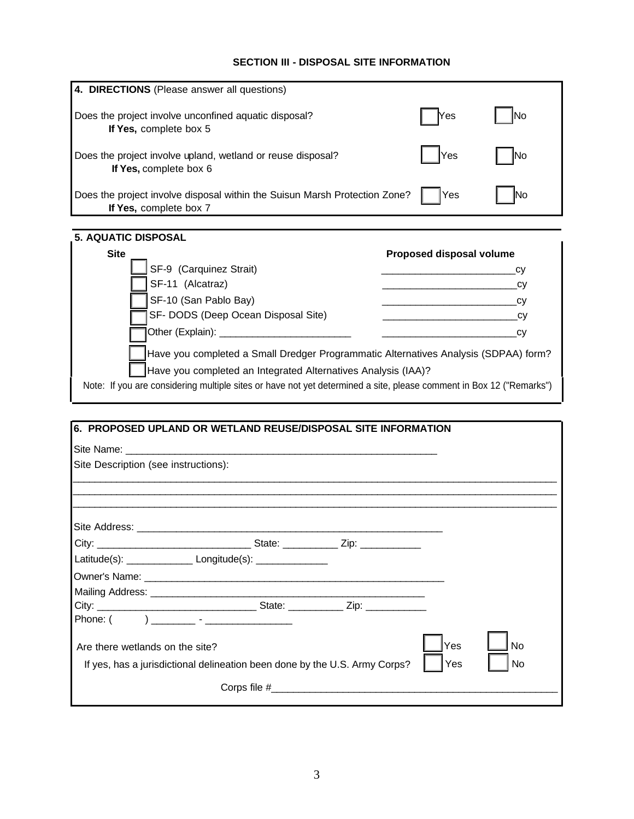## **SECTION III - DISPOSAL SITE INFORMATION**

| 4. DIRECTIONS (Please answer all questions)                                                          |             |     |
|------------------------------------------------------------------------------------------------------|-------------|-----|
| Does the project involve unconfined aquatic disposal?<br>If Yes, complete box 5                      | <b>Nes</b>  | No  |
| Does the project involve upland, wetland or reuse disposal?<br>If Yes, complete box 6                | <b>IYes</b> | lNo |
| Does the project involve disposal within the Suisun Marsh Protection Zone?<br>If Yes, complete box 7 | Yes         |     |

| <b>Site</b>                                                                                                         | Proposed disposal volume |
|---------------------------------------------------------------------------------------------------------------------|--------------------------|
| SF-9 (Carquinez Strait)                                                                                             | CV                       |
| SF-11 (Alcatraz)                                                                                                    | СV                       |
| SF-10 (San Pablo Bay)                                                                                               | СV                       |
| SF- DODS (Deep Ocean Disposal Site)                                                                                 | СV                       |
| Other (Explain): __                                                                                                 | CV                       |
| Have you completed a Small Dredger Programmatic Alternatives Analysis (SDPAA) form?                                 |                          |
| Have you completed an Integrated Alternatives Analysis (IAA)?                                                       |                          |
| Note: If you are considering multiple sites or have not yet determined a site, please comment in Box 12 ("Remarks") |                          |

I

| Site Description (see instructions): |                                                                            |        |           |
|--------------------------------------|----------------------------------------------------------------------------|--------|-----------|
|                                      |                                                                            |        |           |
|                                      |                                                                            |        |           |
|                                      |                                                                            |        |           |
|                                      |                                                                            |        |           |
|                                      | Latitude(s): ___________________ Longitude(s): _______________             |        |           |
|                                      |                                                                            |        |           |
|                                      |                                                                            |        |           |
|                                      |                                                                            |        |           |
|                                      |                                                                            |        |           |
|                                      |                                                                            | Yes    | <b>No</b> |
| Are there wetlands on the site?      |                                                                            |        |           |
|                                      | If yes, has a jurisdictional delineation been done by the U.S. Army Corps? | I IYes | <b>No</b> |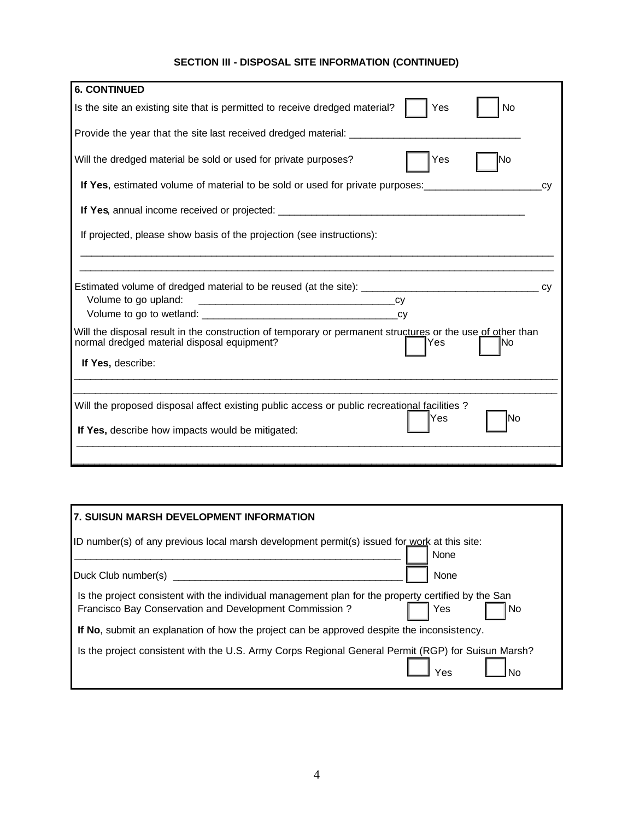## **SECTION III - DISPOSAL SITE INFORMATION (CONTINUED)**

| <b>6. CONTINUED</b>                                                                                                                                              |     |
|------------------------------------------------------------------------------------------------------------------------------------------------------------------|-----|
| Yes<br>Is the site an existing site that is permitted to receive dredged material?                                                                               | No  |
| Provide the year that the site last received dredged material: ________________________                                                                          |     |
| Will the dredged material be sold or used for private purposes?<br>Yes                                                                                           | lNo |
| If Yes, estimated volume of material to be sold or used for private purposes:                                                                                    |     |
| If Yes, annual income received or projected: ___________________________________                                                                                 |     |
| If projected, please show basis of the projection (see instructions):                                                                                            |     |
| Estimated volume of dredged material to be reused (at the site): ___________________________________<br>Volume to go upland:                                     |     |
| Will the disposal result in the construction of temporary or permanent structures or the use of other than<br>normal dredged material disposal equipment?<br>Yes | lNo |
| If Yes, describe:                                                                                                                                                |     |
| Will the proposed disposal affect existing public access or public recreational facilities?                                                                      |     |
|                                                                                                                                                                  |     |
| Yes<br>If Yes, describe how impacts would be mitigated:                                                                                                          | lNo |

|                     |                                                        | ID number(s) of any previous local marsh development permit(s) issued for work at this site:        | None |    |
|---------------------|--------------------------------------------------------|-----------------------------------------------------------------------------------------------------|------|----|
| Duck Club number(s) |                                                        |                                                                                                     | None |    |
|                     | Francisco Bay Conservation and Development Commission? | Is the project consistent with the individual management plan for the property certified by the San | Yes  | No |
|                     |                                                        | If No, submit an explanation of how the project can be approved despite the inconsistency.          |      |    |
|                     |                                                        | Is the project consistent with the U.S. Army Corps Regional General Permit (RGP) for Suisun Marsh?  |      |    |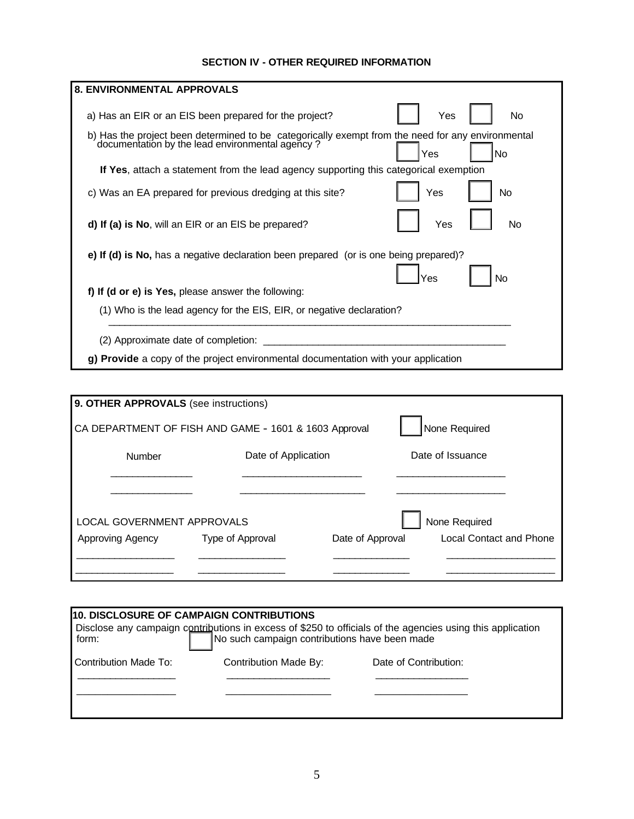## **SECTION IV - OTHER REQUIRED INFORMATION**

| a) Has an EIR or an EIS been prepared for the project?<br>Yes<br>No.                                                                                              |
|-------------------------------------------------------------------------------------------------------------------------------------------------------------------|
| b) Has the project been determined to be categorically exempt from the need for any environmental<br>documentation by the lead environmental agency?<br>No<br>Yes |
| If Yes, attach a statement from the lead agency supporting this categorical exemption                                                                             |
| Yes<br>No<br>c) Was an EA prepared for previous dredging at this site?                                                                                            |
| d) If (a) is No, will an EIR or an EIS be prepared?<br>Yes<br>No.                                                                                                 |
| e) If (d) is No, has a negative declaration been prepared (or is one being prepared)?                                                                             |
| No<br>Yes                                                                                                                                                         |
| f) If (d or e) is Yes, please answer the following:                                                                                                               |
| (1) Who is the lead agency for the EIS, EIR, or negative declaration?                                                                                             |

| 9. OTHER APPROVALS (see instructions)                 |                     |                  |                         |
|-------------------------------------------------------|---------------------|------------------|-------------------------|
| CA DEPARTMENT OF FISH AND GAME - 1601 & 1603 Approval |                     |                  | None Required           |
| Number                                                | Date of Application |                  | Date of Issuance        |
|                                                       |                     |                  |                         |
|                                                       |                     |                  |                         |
| LOCAL GOVERNMENT APPROVALS                            |                     |                  | None Required           |
| Approving Agency                                      | Type of Approval    | Date of Approval | Local Contact and Phone |
|                                                       |                     |                  |                         |
|                                                       |                     |                  |                         |

| <b>10. DISCLOSURE OF CAMPAIGN CONTRIBUTIONS</b>                                                                  |                       |                       |  |  |  |  |
|------------------------------------------------------------------------------------------------------------------|-----------------------|-----------------------|--|--|--|--|
|                                                                                                                  |                       |                       |  |  |  |  |
| Disclose any campaign contributions in excess of \$250 to officials of the agencies using this application form: |                       |                       |  |  |  |  |
| Contribution Made To:                                                                                            | Contribution Made By: | Date of Contribution: |  |  |  |  |
|                                                                                                                  |                       |                       |  |  |  |  |
|                                                                                                                  |                       |                       |  |  |  |  |
|                                                                                                                  |                       |                       |  |  |  |  |